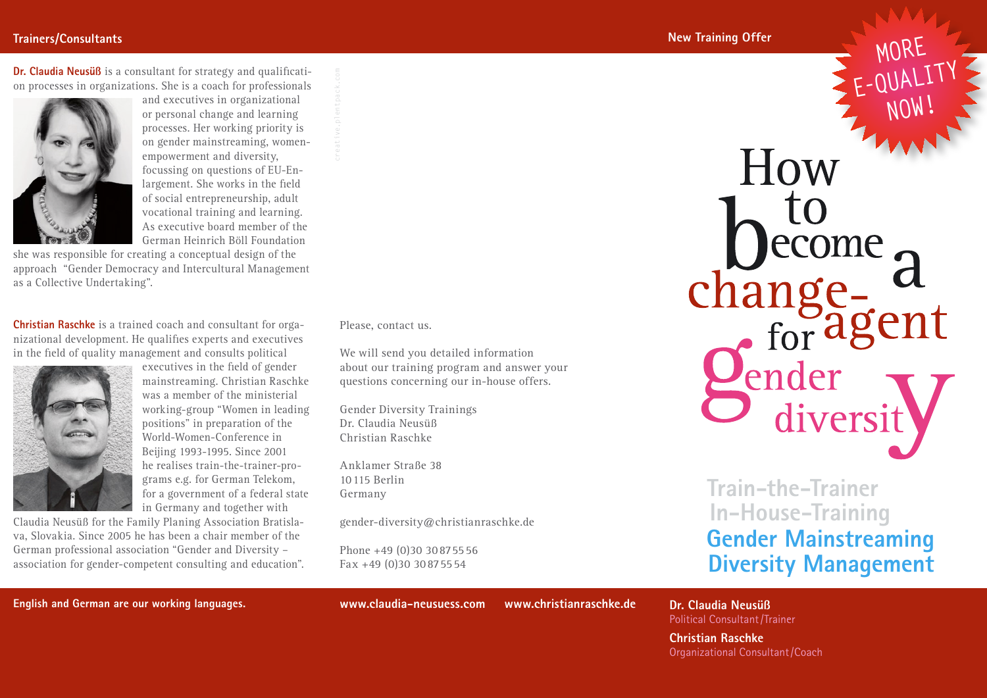#### **Trainers/Consultants**

**Dr. Claudia Neusüß** is a consultant for strategy and qualification processes in organizations. She is a coach for professionals



and executives in organizational or personal change and learning processes. Her working priority is on gender mainstreaming, womenempowerment and diversity, focussing on questions of EU-Enlargement. She works in the field of social entrepreneurship, adult vocational training and learning. As executive board member of the German Heinrich Böll Foundation

she was responsible for creating a conceptual design of the approach "Gender Democracy and Intercultural Management as a Collective Undertaking".

**Christian Raschke** is a trained coach and consultant for organizational development. He qualifies experts and executives in the field of quality management and consults political



executives in the field of gender mainstreaming. Christian Raschke was a member of the ministerial working-group "Women in leading positions" in preparation of the World-Women-Conference in Beijing 1993-1995. Since 2001 he realises train-the-trainer-programs e.g. for German Telekom, for a government of a federal state in Germany and together with

Claudia Neusüß for the Family Planing Association Bratislava, Slovakia. Since 2005 he has been a chair member of the German professional association "Gender and Diversity – association for gender-competent consulting and education". Please, contact us.

We will send you detailed information about our training program and answer your questions concerning our in-house offers.

Gender Diversity Trainings Dr. Claudia Neusüß Christian Raschke Fax the Will send you detailed<br>the will send you detailed<br>about our training program<br>questions concerning our<br>Gender Diversity Trainin<br>Dr. Claudia Neusüß<br>Christian Raschke<br>Anklamer Straße 38<br>10 115 Berlin<br>Germany<br>gender-di

Anklamer Straße 38 10 115 Berlin Germany

gender-diversity@christianraschke.de

Phone +49 (0)30 30 87 55 56

How ecome chang tuge-<br>for agent Jender<br>Deliversit

**E-QUALITY**

**E-QUALITY**

**MORE**

**NOW!**

**NOW!**

**Train-the-Trainer In-House-Training**

# **Gender Mainstreaming Diversity Management**

**English and German are our working languages. www.claudia-neusuess.com www.christianraschke.de**

**Dr. Claudia Neusüß**  Political Consultant /Trainer

**Christian Raschke** Organizational Consultant /Coach